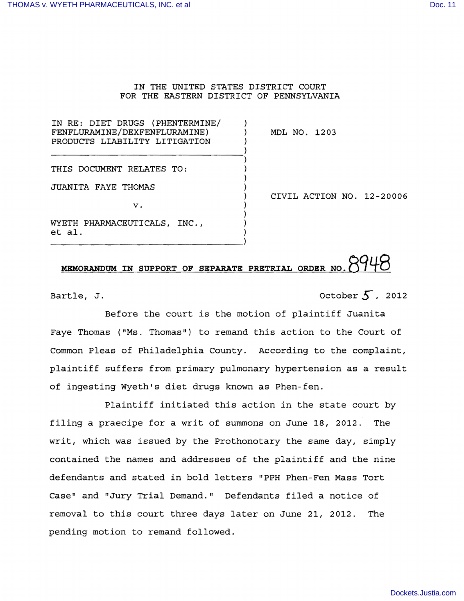## IN THE UNITED STATES DISTRICT COURT FOR THE EASTERN DISTRICT OF PENNSYLVANIA

)

)

IN RE: DIET DRUGS (PHENTERMINE/ FENFLURAMINE/DEXFENFLURAMINE) ) MDL NO. 1203 PRODUCTS LIABILITY LITIGATION  $\qquad$ 

-----------------------------------})

----------------------------------}

THIS DOCUMENT RELATES TO:

JUANITA FAYE THOMAS }

 $\mathbf{v}$ .  $\mathbf{v}$ 

WYETH PHARMACEUTICALS, INC.,  $\qquad$ ) et al. (al. ) ) CIVIL ACTION NO. 12-20006

## **MEMORANDUM IN SUPPORT OF SEPARATE PRETRIAL ORDER NO.**

Bartle, J.  $\overline{5}$ , 2012

Before the court is the motion of plaintiff Juanita Faye Thomas ("Ms. Thomas") to remand this action to the Court of Common Pleas of Philadelphia County. According to the complaint, plaintiff suffers from primary pulmonary hypertension as a result of ingesting Wyeth's diet drugs known as Phen-fen.

Plaintiff initiated this action in the state court by filing a praecipe for a writ of summons on June 18, 2012. The writ, which was issued by the Prothonotary the same day, simply contained the names and addresses of the plaintiff and the nine defendants and stated in bold letters "PPH Phen-Fen Mass Tort Case" and "Jury Trial Demand." Defendants filed a notice of removal to this court three days later on June 21, 2012. The pending motion to remand followed.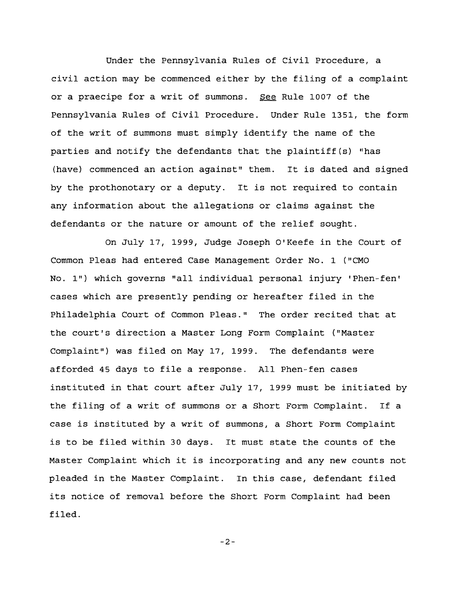Under the pennsylvania Rules of Civil Procedure, a civil action may be commenced either by the filing of a complaint or a praecipe for a writ of summons. See Rule 1007 of the pennsylvania Rules of Civil Procedure. Under Rule 1351, the form of the writ of summons must simply identify the name of the parties and notify the defendants that the plaintiff(s) "has (have) commenced an action against" them. It is dated and signed by the prothonotary or a deputy. It is not required to contain any information about the allegations or claims against the defendants or the nature or amount of the relief sought.

On July 17, 1999, Judge Joseph O'Keefe in the Court of Common Pleas had entered Case Management Order No. 1 ("CMO No. I") which governs "all individual personal injury 'Phen-fen' cases which are presently pending or hereafter filed in the Philadelphia Court of Common Pleas." The order recited that at the court's direction a Master Long Form Complaint ("Master Complaint") was filed on May 17, 1999. The defendants were afforded 45 days to file a response. All Phen-fen cases instituted in that court after July 17, 1999 must be initiated by the filing of a writ of summons or a Short Form Complaint. If a case is instituted by a writ of summons, a Short Form Complaint is to be filed within 30 days. It must state the counts of the Master Complaint which it is incorporating and any new counts not pleaded in the Master Complaint. In this case, defendant filed its notice of removal before the Short Form Complaint had been filed.

-2-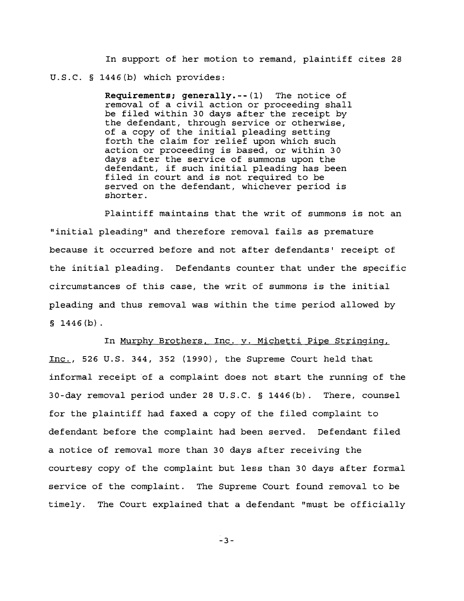In support of her motion to remand, plaintiff cites 28 U.S.C. § 1446(b) which provides:

> **Requirements;** generally.--{l} The notice of removal of a civil action or proceeding shall be filed within 30 days after the receipt by the defendant, through service or otherwise, of a copy of the initial pleading setting forth the claim for relief upon which such action or proceeding is based, or within 30 days after the service of summons upon the defendant, if such initial pleading has been filed in court and is not required to be served on the defendant, whichever period is shorter.

Plaintiff maintains that the writ of summons is not an "initial pleading" and therefore removal fails as premature because it occurred before and not after defendants' receipt of the initial pleading. Defendants counter that under the specific circumstances of this case, the writ of summons is the initial pleading and thus removal was within the time period allowed by  $$1446(b).$ 

In Murphy Brothers, Inc. v. Michetti Pipe Stringing,

Inc., 526 U.S. 344, 352 (1990), the Supreme Court held that informal receipt of a complaint does not start the running of the 30-day removal period under 28 U.S.C. § 1446(b}. There, counsel for the plaintiff had faxed a copy of the filed complaint to defendant before the complaint had been served. Defendant filed a notice of removal more than 30 days after receiving the courtesy copy of the complaint but less than 30 days after formal service of the complaint. The Supreme Court found removal to be timely. The Court explained that a defendant "must be officially

3-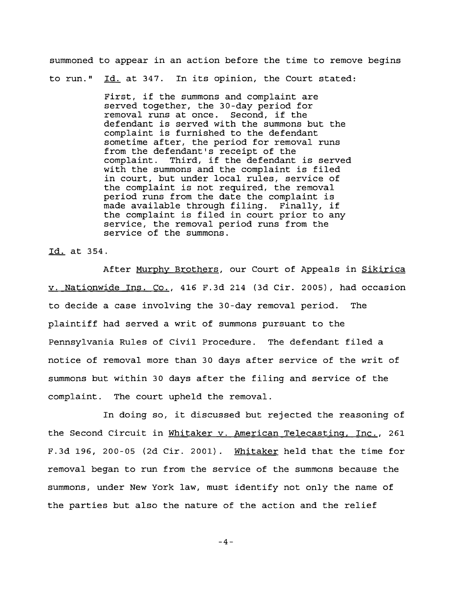summoned to appear in an action before the time to remove begins to run." Id. at 347. In its opinion, the Court stated:

> First, if the summons and complaint are served together, the 30-day period for removal runs at once. Second, if the defendant is served with the summons but the complaint is furnished to the defendant sometime after, the period for removal runs from the defendant's receipt of the complaint. Third, if the defendant is served with the summons and the complaint is filed in court, but under local rules, service of the complaint is not required, the removal period runs from the date the complaint is made available through filing. Finally, if the complaint is filed in court prior to any service, the removal period runs from the service of the summons.

Id. at 354.

After Murphy Brothers, our Court of Appeals in Sikirica v. Nationwide Ins. Co., 416 F.3d 214 (3d Cir. 2005), had occasion to decide a case involving the 30-day removal period. The plaintiff had served <sup>a</sup> writ of summons pursuant to the Pennsylvania Rules of Civil Procedure. The defendant filed <sup>a</sup> notice of removal more than 30 days after service of the writ of summons but within 30 days after the filing and service of the complaint. The court upheld the removal.

In doing so, it discussed but rejected the reasoning of the Second Circuit in Whitaker v. American Telecasting, Inc., 261 F.3d 196, 200-05 (2d  $Cir. 2001$ ). Whitaker held that the time for removal began to run from the service of the summons because the summons, under New York law, must identify not only the name of the parties but also the nature of the action and the relief

-4-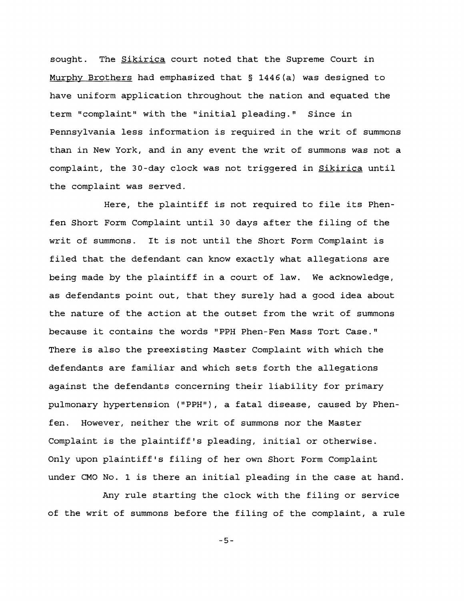sought. The **Sikirica** court noted that the Supreme Court in Murphy Brothers had emphasized that § 1446{a) was designed to have uniform application throughout the nation and equated the term "complaint" with the "initial pleading." Since in pennsylvania less information is required in the writ of summons than in New York, and in any event the writ of summons was not <sup>a</sup> complaint, the 30-day clock was not triggered in **Sikirica** until the complaint was served.

Here, the plaintiff is not required to file its Phenfen Short Form Complaint until 30 days after the filing of the writ of summons. It is not until the Short Form Complaint is filed that the defendant can know exactly what allegations are being made by the plaintiff in a court of law. We acknowledge, as defendants point out, that they surely had a good idea about the nature of the action at the outset from the writ of summons because it contains the words "PPH Phen-Fen Mass Tort Case." There is also the preexisting Master Complaint with which the defendants are familiar and which sets forth the allegations against the defendants concerning their liability for primary pulmonary hypertension ("PPH"), a fatal disease, caused by Phenfen. However, neither the writ of summons nor the Master Complaint is the plaintiff's pleading, initial or otherwise. Only upon plaintiff's filing of her own Short Form Complaint under CMO No. 1 is there an initial pleading in the case at hand.

Any rule starting the clock with the filing or service of the writ of summons before the filing of the complaint, a rule

-5-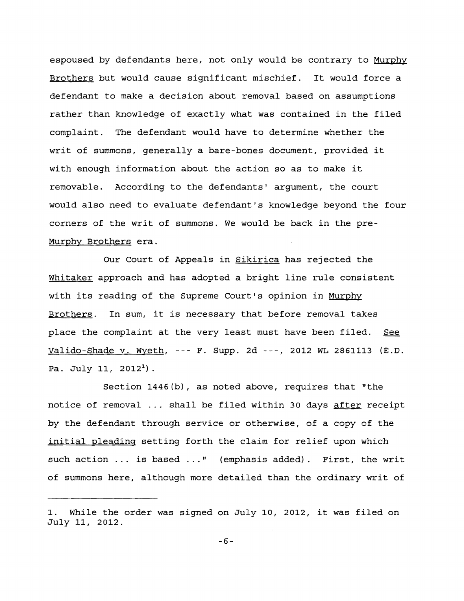espoused by defendants here, not only would be contrary to Murphy Brothers but would cause significant mischief. It would force <sup>a</sup> defendant to make a decision about removal based on assumptions rather than knowledge of exactly what was contained in the filed complaint. The defendant would have to determine whether the writ of summons, generally a bare-bones document, provided it with enough information about the action so as to make it removable. According to the defendants' argument, the court would also need to evaluate defendant's knowledge beyond the four corners of the writ of summons. We would be back in the pre-Murphy Brothers era.

Our Court of Appeals in **Sikirica** has rejected the Whitaker approach and has adopted <sup>a</sup> bright line rule consistent with its reading of the Supreme Court's opinion in Murphy Brothers. In sum, it is necessary that before removal takes place the complaint at the very least must have been filed. See Valido-Shade v. Wyeth, --- F. Supp. 2d ---, 2012 WL 2861113 (E.D. Pa. July 11,  $2012<sup>1</sup>$ ).

Section 1446(b), as noted above, requires that "the notice of removal ... shall be filed within 30 days after receipt by the defendant through service or otherwise, of a copy of the initial pleading setting forth the claim for relief upon which such action ... is based ..." (emphasis added). First, the writ of summons here, although more detailed than the ordinary writ of

While the order was signed on July 10, 2012, it was filed on July 11, 2012.